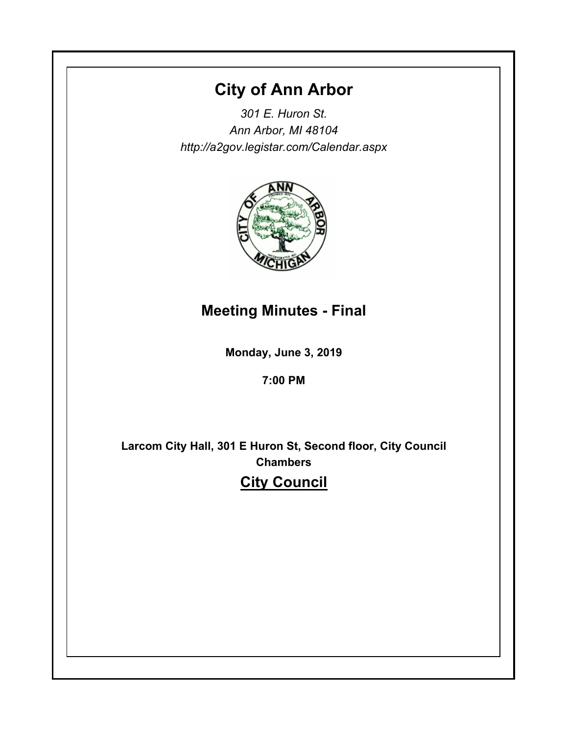# **City of Ann Arbor**

*301 E. Huron St. Ann Arbor, MI 48104 http://a2gov.legistar.com/Calendar.aspx*



# **Meeting Minutes - Final**

**Monday, June 3, 2019**

# **7:00 PM**

**Larcom City Hall, 301 E Huron St, Second floor, City Council Chambers City Council**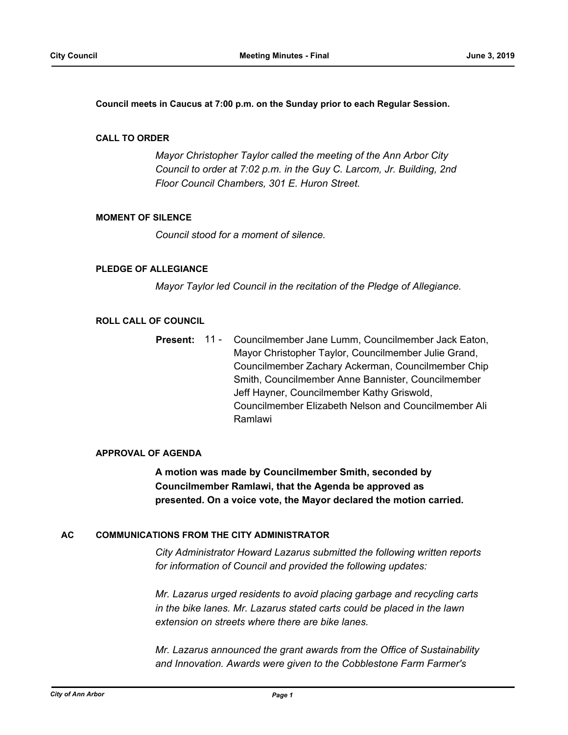**Council meets in Caucus at 7:00 p.m. on the Sunday prior to each Regular Session.**

# **CALL TO ORDER**

*Mayor Christopher Taylor called the meeting of the Ann Arbor City Council to order at 7:02 p.m. in the Guy C. Larcom, Jr. Building, 2nd Floor Council Chambers, 301 E. Huron Street.*

# **MOMENT OF SILENCE**

*Council stood for a moment of silence.*

# **PLEDGE OF ALLEGIANCE**

*Mayor Taylor led Council in the recitation of the Pledge of Allegiance.*

#### **ROLL CALL OF COUNCIL**

Councilmember Jane Lumm, Councilmember Jack Eaton, Mayor Christopher Taylor, Councilmember Julie Grand, Councilmember Zachary Ackerman, Councilmember Chip Smith, Councilmember Anne Bannister, Councilmember Jeff Hayner, Councilmember Kathy Griswold, Councilmember Elizabeth Nelson and Councilmember Ali Ramlawi **Present:** 11 -

#### **APPROVAL OF AGENDA**

**A motion was made by Councilmember Smith, seconded by Councilmember Ramlawi, that the Agenda be approved as presented. On a voice vote, the Mayor declared the motion carried.**

#### **AC COMMUNICATIONS FROM THE CITY ADMINISTRATOR**

*City Administrator Howard Lazarus submitted the following written reports for information of Council and provided the following updates:*

*Mr. Lazarus urged residents to avoid placing garbage and recycling carts in the bike lanes. Mr. Lazarus stated carts could be placed in the lawn extension on streets where there are bike lanes.*

*Mr. Lazarus announced the grant awards from the Office of Sustainability and Innovation. Awards were given to the Cobblestone Farm Farmer's*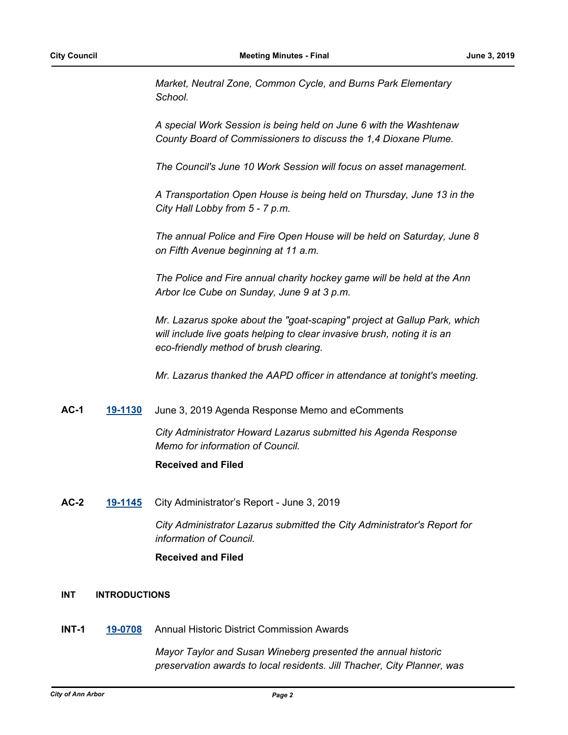*Market, Neutral Zone, Common Cycle, and Burns Park Elementary School.* 

*A special Work Session is being held on June 6 with the Washtenaw County Board of Commissioners to discuss the 1,4 Dioxane Plume.* 

*The Council's June 10 Work Session will focus on asset management.*

*A Transportation Open House is being held on Thursday, June 13 in the City Hall Lobby from 5 - 7 p.m.*

*The annual Police and Fire Open House will be held on Saturday, June 8 on Fifth Avenue beginning at 11 a.m.*

*The Police and Fire annual charity hockey game will be held at the Ann Arbor Ice Cube on Sunday, June 9 at 3 p.m.*

*Mr. Lazarus spoke about the "goat-scaping" project at Gallup Park, which will include live goats helping to clear invasive brush, noting it is an eco-friendly method of brush clearing.*

*Mr. Lazarus thanked the AAPD officer in attendance at tonight's meeting.*

# **AC-1 [19-1130](http://a2gov.legistar.com/gateway.aspx?M=L&ID=22778)** June 3, 2019 Agenda Response Memo and eComments

*City Administrator Howard Lazarus submitted his Agenda Response Memo for information of Council.*

# **Received and Filed**

**AC-2 [19-1145](http://a2gov.legistar.com/gateway.aspx?M=L&ID=22793)** City Administrator's Report - June 3, 2019

*City Administrator Lazarus submitted the City Administrator's Report for information of Council.*

# **Received and Filed**

# **INT INTRODUCTIONS**

**INT-1 [19-0708](http://a2gov.legistar.com/gateway.aspx?M=L&ID=22399)** Annual Historic District Commission Awards

*Mayor Taylor and Susan Wineberg presented the annual historic preservation awards to local residents. Jill Thacher, City Planner, was*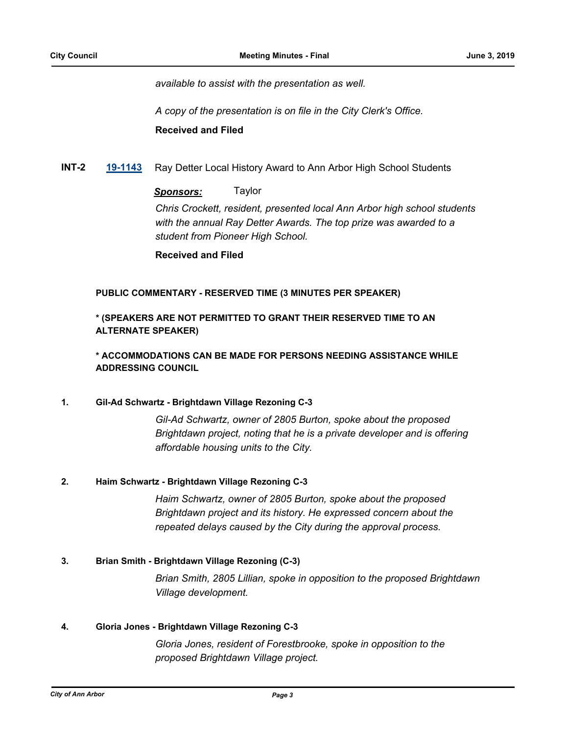*available to assist with the presentation as well.*

*A copy of the presentation is on file in the City Clerk's Office.* **Received and Filed**

**INT-2 [19-1143](http://a2gov.legistar.com/gateway.aspx?M=L&ID=22791)** Ray Detter Local History Award to Ann Arbor High School Students

# *Sponsors:* Taylor

*Chris Crockett, resident, presented local Ann Arbor high school students with the annual Ray Detter Awards. The top prize was awarded to a student from Pioneer High School.*

**Received and Filed**

# **PUBLIC COMMENTARY - RESERVED TIME (3 MINUTES PER SPEAKER)**

**\* (SPEAKERS ARE NOT PERMITTED TO GRANT THEIR RESERVED TIME TO AN ALTERNATE SPEAKER)**

**\* ACCOMMODATIONS CAN BE MADE FOR PERSONS NEEDING ASSISTANCE WHILE ADDRESSING COUNCIL**

# **1. Gil-Ad Schwartz - Brightdawn Village Rezoning C-3**

*Gil-Ad Schwartz, owner of 2805 Burton, spoke about the proposed Brightdawn project, noting that he is a private developer and is offering affordable housing units to the City.*

# **2. Haim Schwartz - Brightdawn Village Rezoning C-3**

*Haim Schwartz, owner of 2805 Burton, spoke about the proposed Brightdawn project and its history. He expressed concern about the repeated delays caused by the City during the approval process.*

# **3. Brian Smith - Brightdawn Village Rezoning (C-3)**

*Brian Smith, 2805 Lillian, spoke in opposition to the proposed Brightdawn Village development.*

# **4. Gloria Jones - Brightdawn Village Rezoning C-3**

*Gloria Jones, resident of Forestbrooke, spoke in opposition to the proposed Brightdawn Village project.*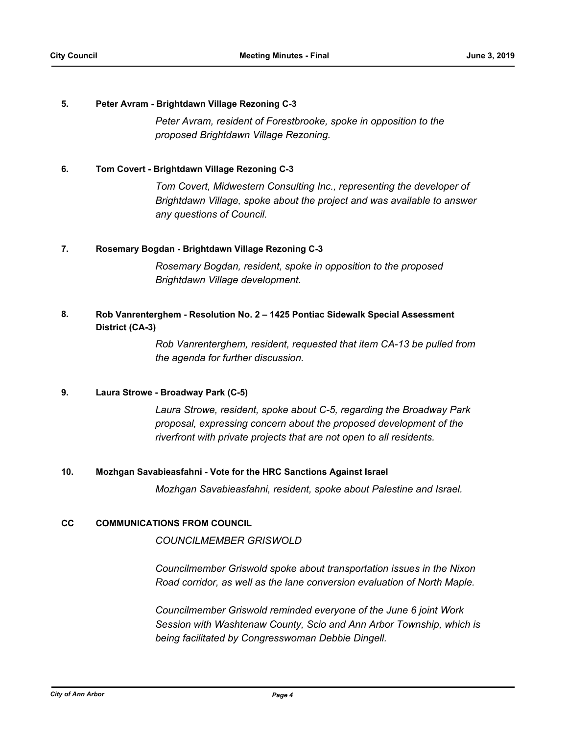# **5. Peter Avram - Brightdawn Village Rezoning C-3**

*Peter Avram, resident of Forestbrooke, spoke in opposition to the proposed Brightdawn Village Rezoning.*

# **6. Tom Covert - Brightdawn Village Rezoning C-3**

*Tom Covert, Midwestern Consulting Inc., representing the developer of Brightdawn Village, spoke about the project and was available to answer any questions of Council.*

# **7. Rosemary Bogdan - Brightdawn Village Rezoning C-3**

*Rosemary Bogdan, resident, spoke in opposition to the proposed Brightdawn Village development.*

#### **Rob Vanrenterghem - Resolution No. 2 – 1425 Pontiac Sidewalk Special Assessment District (CA-3) 8.**

*Rob Vanrenterghem, resident, requested that item CA-13 be pulled from the agenda for further discussion.*

# **9. Laura Strowe - Broadway Park (C-5)**

*Laura Strowe, resident, spoke about C-5, regarding the Broadway Park proposal, expressing concern about the proposed development of the riverfront with private projects that are not open to all residents.*

# **10. Mozhgan Savabieasfahni - Vote for the HRC Sanctions Against Israel**

*Mozhgan Savabieasfahni, resident, spoke about Palestine and Israel.*

# **CC COMMUNICATIONS FROM COUNCIL**

*COUNCILMEMBER GRISWOLD*

*Councilmember Griswold spoke about transportation issues in the Nixon Road corridor, as well as the lane conversion evaluation of North Maple.* 

*Councilmember Griswold reminded everyone of the June 6 joint Work Session with Washtenaw County, Scio and Ann Arbor Township, which is being facilitated by Congresswoman Debbie Dingell.*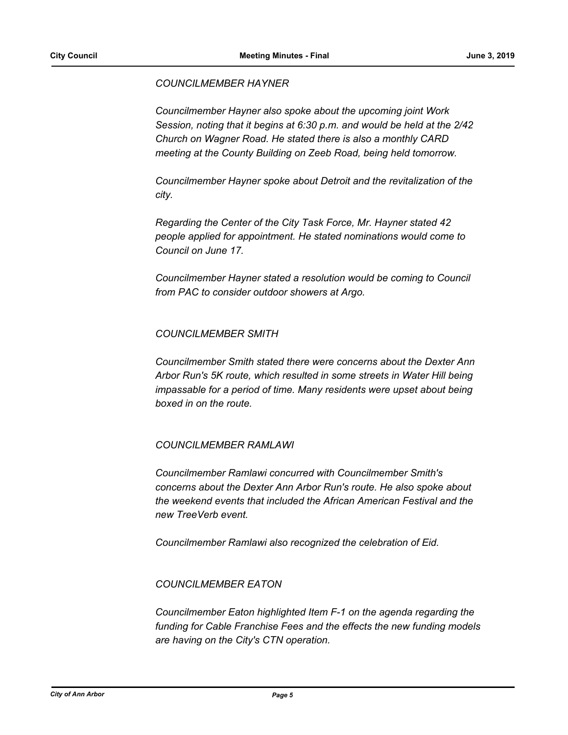# *COUNCILMEMBER HAYNER*

*Councilmember Hayner also spoke about the upcoming joint Work Session, noting that it begins at 6:30 p.m. and would be held at the 2/42 Church on Wagner Road. He stated there is also a monthly CARD meeting at the County Building on Zeeb Road, being held tomorrow.*

*Councilmember Hayner spoke about Detroit and the revitalization of the city.*

*Regarding the Center of the City Task Force, Mr. Hayner stated 42 people applied for appointment. He stated nominations would come to Council on June 17.*

*Councilmember Hayner stated a resolution would be coming to Council from PAC to consider outdoor showers at Argo.*

# *COUNCILMEMBER SMITH*

*Councilmember Smith stated there were concerns about the Dexter Ann Arbor Run's 5K route, which resulted in some streets in Water Hill being impassable for a period of time. Many residents were upset about being boxed in on the route.*

# *COUNCILMEMBER RAMLAWI*

*Councilmember Ramlawi concurred with Councilmember Smith's concerns about the Dexter Ann Arbor Run's route. He also spoke about the weekend events that included the African American Festival and the new TreeVerb event.*

*Councilmember Ramlawi also recognized the celebration of Eid.*

# *COUNCILMEMBER EATON*

*Councilmember Eaton highlighted Item F-1 on the agenda regarding the funding for Cable Franchise Fees and the effects the new funding models are having on the City's CTN operation.*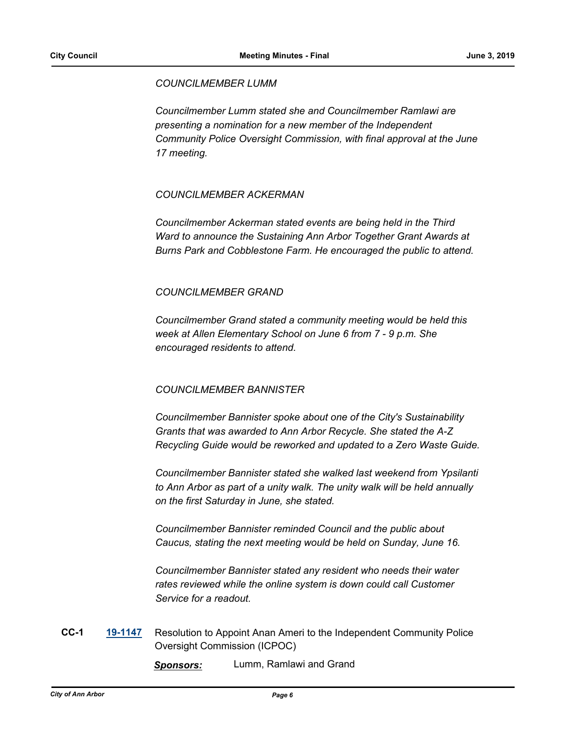# *COUNCILMEMBER LUMM*

*Councilmember Lumm stated she and Councilmember Ramlawi are presenting a nomination for a new member of the Independent Community Police Oversight Commission, with final approval at the June 17 meeting.*

# *COUNCILMEMBER ACKERMAN*

*Councilmember Ackerman stated events are being held in the Third Ward to announce the Sustaining Ann Arbor Together Grant Awards at Burns Park and Cobblestone Farm. He encouraged the public to attend.*

# *COUNCILMEMBER GRAND*

*Councilmember Grand stated a community meeting would be held this week at Allen Elementary School on June 6 from 7 - 9 p.m. She encouraged residents to attend.*

# *COUNCILMEMBER BANNISTER*

*Councilmember Bannister spoke about one of the City's Sustainability Grants that was awarded to Ann Arbor Recycle. She stated the A-Z Recycling Guide would be reworked and updated to a Zero Waste Guide.*

*Councilmember Bannister stated she walked last weekend from Ypsilanti to Ann Arbor as part of a unity walk. The unity walk will be held annually on the first Saturday in June, she stated.* 

*Councilmember Bannister reminded Council and the public about Caucus, stating the next meeting would be held on Sunday, June 16.*

*Councilmember Bannister stated any resident who needs their water*  rates reviewed while the online system is down could call Customer *Service for a readout.*

**CC-1 [19-1147](http://a2gov.legistar.com/gateway.aspx?M=L&ID=22795)** Resolution to Appoint Anan Ameri to the Independent Community Police Oversight Commission (ICPOC)

*Sponsors:* Lumm, Ramlawi and Grand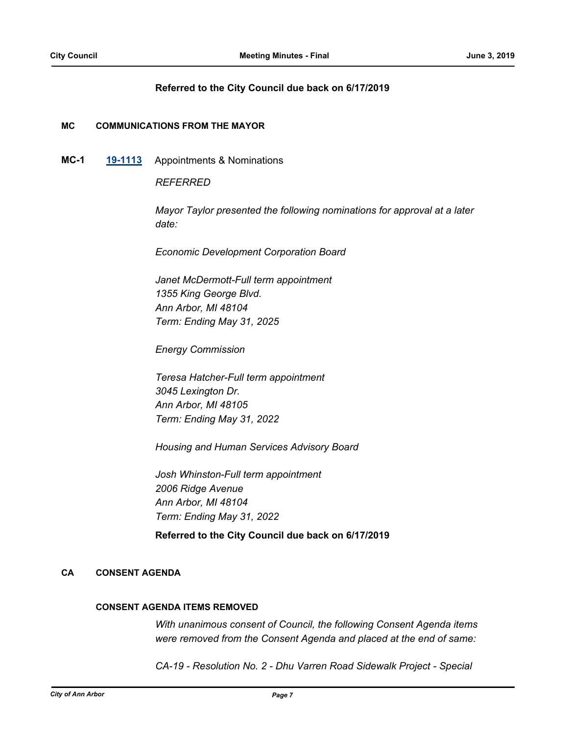# **Referred to the City Council due back on 6/17/2019**

# **MC COMMUNICATIONS FROM THE MAYOR**

**MC-1 [19-1113](http://a2gov.legistar.com/gateway.aspx?M=L&ID=22761)** Appointments & Nominations

*REFERRED*

*Mayor Taylor presented the following nominations for approval at a later date:*

*Economic Development Corporation Board*

*Janet McDermott-Full term appointment 1355 King George Blvd. Ann Arbor, MI 48104 Term: Ending May 31, 2025*

*Energy Commission*

*Teresa Hatcher-Full term appointment 3045 Lexington Dr. Ann Arbor, MI 48105 Term: Ending May 31, 2022*

*Housing and Human Services Advisory Board*

*Josh Whinston-Full term appointment 2006 Ridge Avenue Ann Arbor, MI 48104 Term: Ending May 31, 2022*

# **Referred to the City Council due back on 6/17/2019**

# **CA CONSENT AGENDA**

# **CONSENT AGENDA ITEMS REMOVED**

*With unanimous consent of Council, the following Consent Agenda items were removed from the Consent Agenda and placed at the end of same:*

*CA-19 - Resolution No. 2 - Dhu Varren Road Sidewalk Project - Special*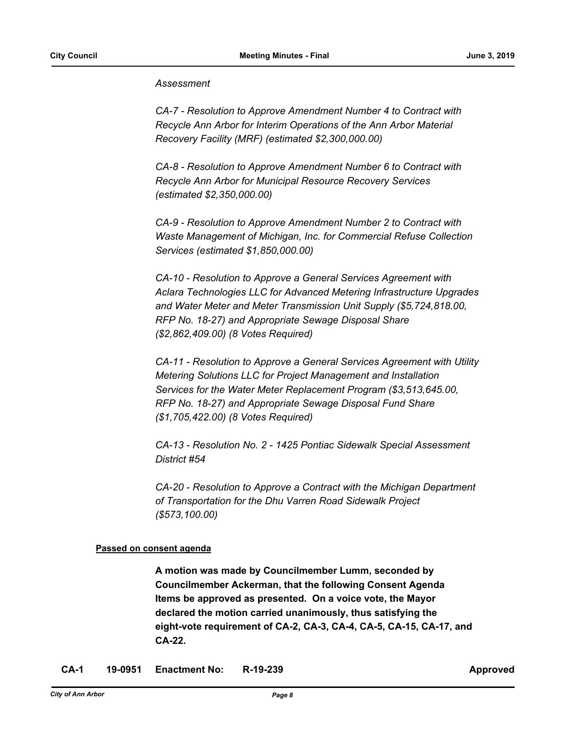# *Assessment*

*CA-7 - Resolution to Approve Amendment Number 4 to Contract with Recycle Ann Arbor for Interim Operations of the Ann Arbor Material Recovery Facility (MRF) (estimated \$2,300,000.00)*

*CA-8 - Resolution to Approve Amendment Number 6 to Contract with Recycle Ann Arbor for Municipal Resource Recovery Services (estimated \$2,350,000.00)*

*CA-9 - Resolution to Approve Amendment Number 2 to Contract with Waste Management of Michigan, Inc. for Commercial Refuse Collection Services (estimated \$1,850,000.00)*

*CA-10 - Resolution to Approve a General Services Agreement with Aclara Technologies LLC for Advanced Metering Infrastructure Upgrades and Water Meter and Meter Transmission Unit Supply (\$5,724,818.00, RFP No. 18-27) and Appropriate Sewage Disposal Share (\$2,862,409.00) (8 Votes Required)*

*CA-11 - Resolution to Approve a General Services Agreement with Utility Metering Solutions LLC for Project Management and Installation Services for the Water Meter Replacement Program (\$3,513,645.00, RFP No. 18-27) and Appropriate Sewage Disposal Fund Share (\$1,705,422.00) (8 Votes Required)*

*CA-13 - Resolution No. 2 - 1425 Pontiac Sidewalk Special Assessment District #54* 

*CA-20 - Resolution to Approve a Contract with the Michigan Department of Transportation for the Dhu Varren Road Sidewalk Project (\$573,100.00)*

# **Passed on consent agenda**

**A motion was made by Councilmember Lumm, seconded by Councilmember Ackerman, that the following Consent Agenda Items be approved as presented. On a voice vote, the Mayor declared the motion carried unanimously, thus satisfying the eight-vote requirement of CA-2, CA-3, CA-4, CA-5, CA-15, CA-17, and CA-22.**

**CA-1 19-0951 Enactment No: R-19-239 Approved**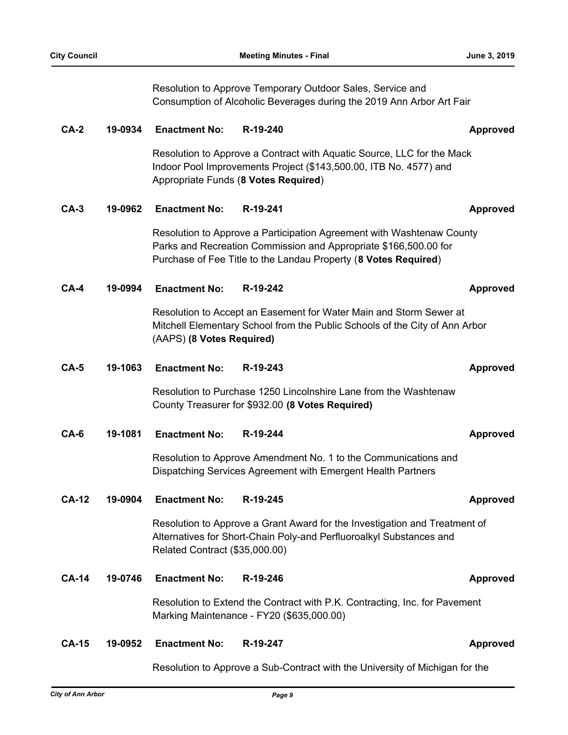Resolution to Approve Temporary Outdoor Sales, Service and Consumption of Alcoholic Beverages during the 2019 Ann Arbor Art Fair

# **CA-2 19-0934 Enactment No: R-19-240 Approved** Resolution to Approve a Contract with Aquatic Source, LLC for the Mack Indoor Pool Improvements Project (\$143,500.00, ITB No. 4577) and Appropriate Funds (**8 Votes Required**) **CA-3 19-0962 Enactment No: R-19-241 Approved** Resolution to Approve a Participation Agreement with Washtenaw County Parks and Recreation Commission and Appropriate \$166,500.00 for Purchase of Fee Title to the Landau Property (**8 Votes Required**) **CA-4 19-0994 Enactment No: R-19-242 Approved** Resolution to Accept an Easement for Water Main and Storm Sewer at Mitchell Elementary School from the Public Schools of the City of Ann Arbor (AAPS) **(8 Votes Required) CA-5 19-1063 Enactment No: R-19-243 Approved** Resolution to Purchase 1250 Lincolnshire Lane from the Washtenaw County Treasurer for \$932.00 **(8 Votes Required) CA-6 19-1081 Enactment No: R-19-244 Approved** Resolution to Approve Amendment No. 1 to the Communications and Dispatching Services Agreement with Emergent Health Partners **CA-12 19-0904 Enactment No: R-19-245 Approved** Resolution to Approve a Grant Award for the Investigation and Treatment of Alternatives for Short-Chain Poly-and Perfluoroalkyl Substances and Related Contract (\$35,000.00) **CA-14 19-0746 Enactment No: R-19-246 Approved** Resolution to Extend the Contract with P.K. Contracting, Inc. for Pavement Marking Maintenance - FY20 (\$635,000.00) **CA-15 19-0952 Enactment No: R-19-247 Approved**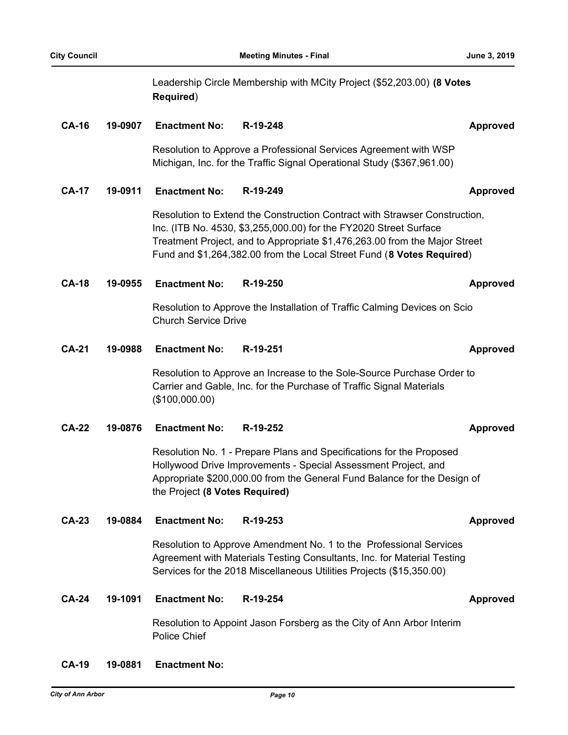|              |         | Required)                      | Leadership Circle Membership with MCity Project (\$52,203.00) (8 Votes                                                                                                                                                                                                                                 |                 |
|--------------|---------|--------------------------------|--------------------------------------------------------------------------------------------------------------------------------------------------------------------------------------------------------------------------------------------------------------------------------------------------------|-----------------|
| <b>CA-16</b> | 19-0907 | <b>Enactment No:</b>           | R-19-248                                                                                                                                                                                                                                                                                               | <b>Approved</b> |
|              |         |                                | Resolution to Approve a Professional Services Agreement with WSP<br>Michigan, Inc. for the Traffic Signal Operational Study (\$367,961.00)                                                                                                                                                             |                 |
| <b>CA-17</b> | 19-0911 | <b>Enactment No:</b>           | R-19-249                                                                                                                                                                                                                                                                                               | <b>Approved</b> |
|              |         |                                | Resolution to Extend the Construction Contract with Strawser Construction,<br>Inc. (ITB No. 4530, \$3,255,000.00) for the FY2020 Street Surface<br>Treatment Project, and to Appropriate \$1,476,263.00 from the Major Street<br>Fund and \$1,264,382.00 from the Local Street Fund (8 Votes Required) |                 |
| <b>CA-18</b> | 19-0955 | <b>Enactment No:</b>           | R-19-250                                                                                                                                                                                                                                                                                               | Approved        |
|              |         | <b>Church Service Drive</b>    | Resolution to Approve the Installation of Traffic Calming Devices on Scio                                                                                                                                                                                                                              |                 |
| <b>CA-21</b> | 19-0988 | <b>Enactment No:</b>           | R-19-251                                                                                                                                                                                                                                                                                               | <b>Approved</b> |
|              |         | (\$100,000.00)                 | Resolution to Approve an Increase to the Sole-Source Purchase Order to<br>Carrier and Gable, Inc. for the Purchase of Traffic Signal Materials                                                                                                                                                         |                 |
| <b>CA-22</b> | 19-0876 | <b>Enactment No:</b>           | R-19-252                                                                                                                                                                                                                                                                                               | <b>Approved</b> |
|              |         | the Project (8 Votes Required) | Resolution No. 1 - Prepare Plans and Specifications for the Proposed<br>Hollywood Drive Improvements - Special Assessment Project, and<br>Appropriate \$200,000.00 from the General Fund Balance for the Design of                                                                                     |                 |
| <b>CA-23</b> | 19-0884 | <b>Enactment No:</b>           | R-19-253                                                                                                                                                                                                                                                                                               | <b>Approved</b> |
|              |         |                                | Resolution to Approve Amendment No. 1 to the Professional Services<br>Agreement with Materials Testing Consultants, Inc. for Material Testing<br>Services for the 2018 Miscellaneous Utilities Projects (\$15,350.00)                                                                                  |                 |
| <b>CA-24</b> | 19-1091 | <b>Enactment No:</b>           | R-19-254                                                                                                                                                                                                                                                                                               | <b>Approved</b> |
|              |         | Police Chief                   | Resolution to Appoint Jason Forsberg as the City of Ann Arbor Interim                                                                                                                                                                                                                                  |                 |

# **CA-19 19-0881 Enactment No:**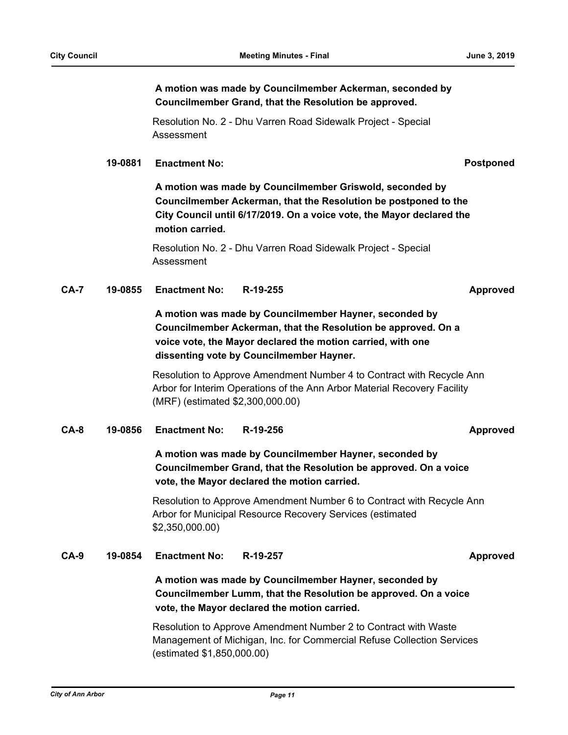**A motion was made by Councilmember Ackerman, seconded by Councilmember Grand, that the Resolution be approved.**

Resolution No. 2 - Dhu Varren Road Sidewalk Project - Special Assessment

# **19-0881 Enactment No: Postponed**

**A motion was made by Councilmember Griswold, seconded by Councilmember Ackerman, that the Resolution be postponed to the City Council until 6/17/2019. On a voice vote, the Mayor declared the motion carried.**

Resolution No. 2 - Dhu Varren Road Sidewalk Project - Special Assessment

**CA-7 19-0855 Enactment No: R-19-255 Approved**

**A motion was made by Councilmember Hayner, seconded by Councilmember Ackerman, that the Resolution be approved. On a voice vote, the Mayor declared the motion carried, with one dissenting vote by Councilmember Hayner.**

Resolution to Approve Amendment Number 4 to Contract with Recycle Ann Arbor for Interim Operations of the Ann Arbor Material Recovery Facility (MRF) (estimated \$2,300,000.00)

# **CA-8 19-0856 Enactment No: R-19-256 Approved**

# **A motion was made by Councilmember Hayner, seconded by Councilmember Grand, that the Resolution be approved. On a voice vote, the Mayor declared the motion carried.**

Resolution to Approve Amendment Number 6 to Contract with Recycle Ann Arbor for Municipal Resource Recovery Services (estimated \$2,350,000.00)

# **CA-9 19-0854 Enactment No: R-19-257 Approved**

# **A motion was made by Councilmember Hayner, seconded by Councilmember Lumm, that the Resolution be approved. On a voice vote, the Mayor declared the motion carried.**

Resolution to Approve Amendment Number 2 to Contract with Waste Management of Michigan, Inc. for Commercial Refuse Collection Services (estimated \$1,850,000.00)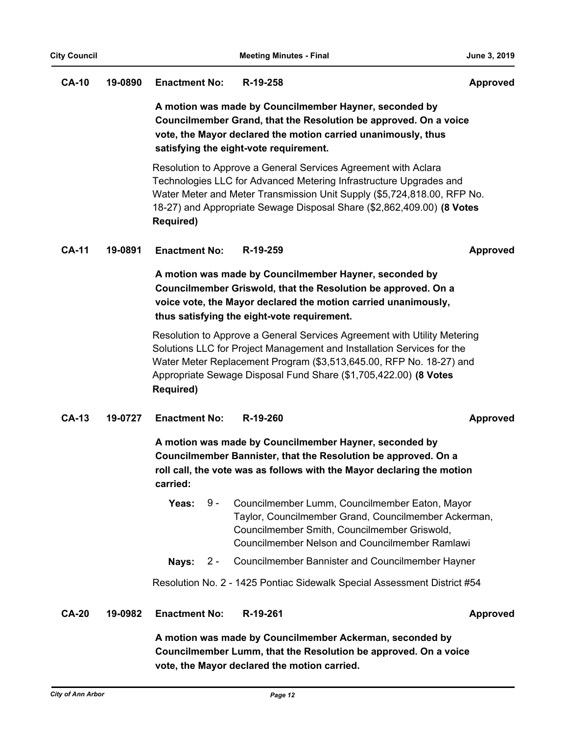# **CA-10 19-0890 Enactment No: R-19-258 Approved**

**A motion was made by Councilmember Hayner, seconded by Councilmember Grand, that the Resolution be approved. On a voice vote, the Mayor declared the motion carried unanimously, thus satisfying the eight-vote requirement.**

Resolution to Approve a General Services Agreement with Aclara Technologies LLC for Advanced Metering Infrastructure Upgrades and Water Meter and Meter Transmission Unit Supply (\$5,724,818.00, RFP No. 18-27) and Appropriate Sewage Disposal Share (\$2,862,409.00) **(8 Votes Required)**

# **CA-11 19-0891 Enactment No: R-19-259 Approved**

**A motion was made by Councilmember Hayner, seconded by Councilmember Griswold, that the Resolution be approved. On a voice vote, the Mayor declared the motion carried unanimously, thus satisfying the eight-vote requirement.**

Resolution to Approve a General Services Agreement with Utility Metering Solutions LLC for Project Management and Installation Services for the Water Meter Replacement Program (\$3,513,645.00, RFP No. 18-27) and Appropriate Sewage Disposal Fund Share (\$1,705,422.00) **(8 Votes Required)**

# **CA-13 19-0727 Enactment No: R-19-260 Approved**

**A motion was made by Councilmember Hayner, seconded by Councilmember Bannister, that the Resolution be approved. On a roll call, the vote was as follows with the Mayor declaring the motion carried:**

- Yeas: 9 Councilmember Lumm, Councilmember Eaton, Mayor Taylor, Councilmember Grand, Councilmember Ackerman, Councilmember Smith, Councilmember Griswold, Councilmember Nelson and Councilmember Ramlawi  $9 -$
- **Nays:** 2 Councilmember Bannister and Councilmember Hayner

Resolution No. 2 - 1425 Pontiac Sidewalk Special Assessment District #54

**CA-20 19-0982 Enactment No: R-19-261 Approved**

**A motion was made by Councilmember Ackerman, seconded by Councilmember Lumm, that the Resolution be approved. On a voice vote, the Mayor declared the motion carried.**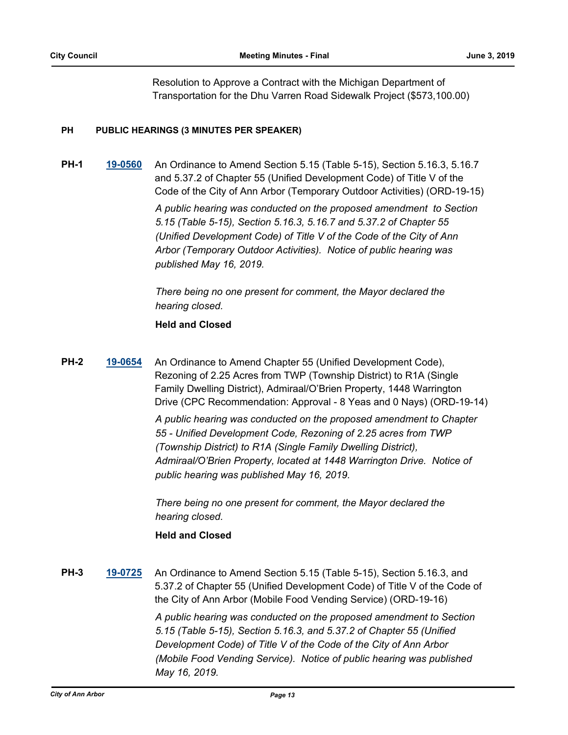Resolution to Approve a Contract with the Michigan Department of Transportation for the Dhu Varren Road Sidewalk Project (\$573,100.00)

# **PH PUBLIC HEARINGS (3 MINUTES PER SPEAKER)**

**PH-1 [19-0560](http://a2gov.legistar.com/gateway.aspx?M=L&ID=22253)** An Ordinance to Amend Section 5.15 (Table 5-15), Section 5.16.3, 5.16.7 and 5.37.2 of Chapter 55 (Unified Development Code) of Title V of the Code of the City of Ann Arbor (Temporary Outdoor Activities) (ORD-19-15) *A public hearing was conducted on the proposed amendment to Section 5.15 (Table 5-15), Section 5.16.3, 5.16.7 and 5.37.2 of Chapter 55 (Unified Development Code) of Title V of the Code of the City of Ann Arbor (Temporary Outdoor Activities). Notice of public hearing was published May 16, 2019.* 

> *There being no one present for comment, the Mayor declared the hearing closed.*

# **Held and Closed**

**PH-2 [19-0654](http://a2gov.legistar.com/gateway.aspx?M=L&ID=22345)** An Ordinance to Amend Chapter 55 (Unified Development Code), Rezoning of 2.25 Acres from TWP (Township District) to R1A (Single Family Dwelling District), Admiraal/O'Brien Property, 1448 Warrington Drive (CPC Recommendation: Approval - 8 Yeas and 0 Nays) (ORD-19-14)

> *A public hearing was conducted on the proposed amendment to Chapter 55 - Unified Development Code, Rezoning of 2.25 acres from TWP (Township District) to R1A (Single Family Dwelling District), Admiraal/O'Brien Property, located at 1448 Warrington Drive. Notice of public hearing was published May 16, 2019.*

*There being no one present for comment, the Mayor declared the hearing closed.*

# **Held and Closed**

**PH-3 [19-0725](http://a2gov.legistar.com/gateway.aspx?M=L&ID=22416)** An Ordinance to Amend Section 5.15 (Table 5-15), Section 5.16.3, and 5.37.2 of Chapter 55 (Unified Development Code) of Title V of the Code of the City of Ann Arbor (Mobile Food Vending Service) (ORD-19-16)

> *A public hearing was conducted on the proposed amendment to Section 5.15 (Table 5-15), Section 5.16.3, and 5.37.2 of Chapter 55 (Unified Development Code) of Title V of the Code of the City of Ann Arbor (Mobile Food Vending Service). Notice of public hearing was published May 16, 2019.*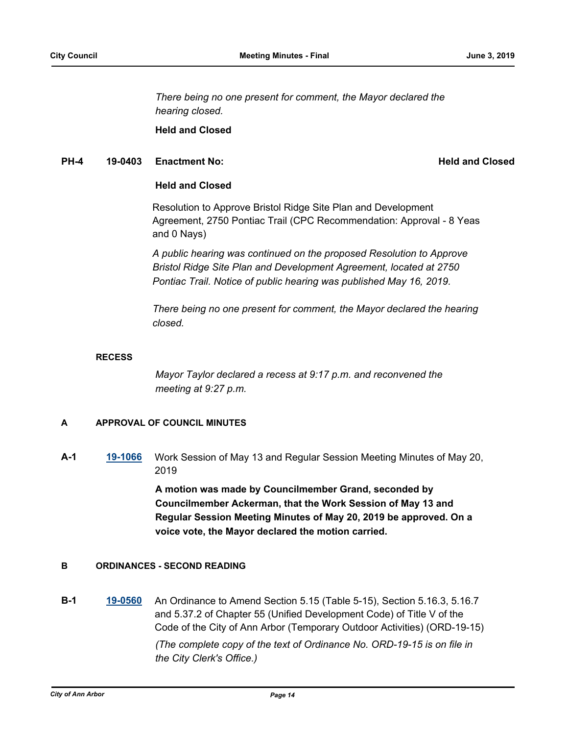*There being no one present for comment, the Mayor declared the hearing closed.*

**Held and Closed**

# **PH-4 19-0403** Enactment No: **Held and Closed**

# **Held and Closed**

Resolution to Approve Bristol Ridge Site Plan and Development Agreement, 2750 Pontiac Trail (CPC Recommendation: Approval - 8 Yeas and 0 Nays)

*A public hearing was continued on the proposed Resolution to Approve Bristol Ridge Site Plan and Development Agreement, located at 2750 Pontiac Trail. Notice of public hearing was published May 16, 2019.*

*There being no one present for comment, the Mayor declared the hearing closed.*

# **RECESS**

*Mayor Taylor declared a recess at 9:17 p.m. and reconvened the meeting at 9:27 p.m.*

# **A APPROVAL OF COUNCIL MINUTES**

**A-1 [19-1066](http://a2gov.legistar.com/gateway.aspx?M=L&ID=22714)** Work Session of May 13 and Regular Session Meeting Minutes of May 20, 2019

> **A motion was made by Councilmember Grand, seconded by Councilmember Ackerman, that the Work Session of May 13 and Regular Session Meeting Minutes of May 20, 2019 be approved. On a voice vote, the Mayor declared the motion carried.**

# **B ORDINANCES - SECOND READING**

**B-1 [19-0560](http://a2gov.legistar.com/gateway.aspx?M=L&ID=22253)** An Ordinance to Amend Section 5.15 (Table 5-15), Section 5.16.3, 5.16.7 and 5.37.2 of Chapter 55 (Unified Development Code) of Title V of the Code of the City of Ann Arbor (Temporary Outdoor Activities) (ORD-19-15) *(The complete copy of the text of Ordinance No. ORD-19-15 is on file in the City Clerk's Office.)*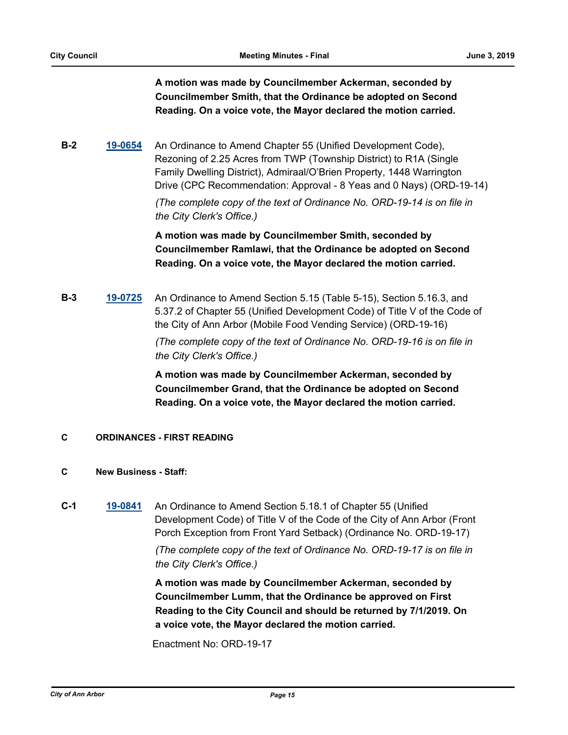**A motion was made by Councilmember Ackerman, seconded by Councilmember Smith, that the Ordinance be adopted on Second Reading. On a voice vote, the Mayor declared the motion carried.**

**B-2 [19-0654](http://a2gov.legistar.com/gateway.aspx?M=L&ID=22345)** An Ordinance to Amend Chapter 55 (Unified Development Code), Rezoning of 2.25 Acres from TWP (Township District) to R1A (Single Family Dwelling District), Admiraal/O'Brien Property, 1448 Warrington Drive (CPC Recommendation: Approval - 8 Yeas and 0 Nays) (ORD-19-14)

> *(The complete copy of the text of Ordinance No. ORD-19-14 is on file in the City Clerk's Office.)*

> **A motion was made by Councilmember Smith, seconded by Councilmember Ramlawi, that the Ordinance be adopted on Second Reading. On a voice vote, the Mayor declared the motion carried.**

**B-3 [19-0725](http://a2gov.legistar.com/gateway.aspx?M=L&ID=22416)** An Ordinance to Amend Section 5.15 (Table 5-15), Section 5.16.3, and 5.37.2 of Chapter 55 (Unified Development Code) of Title V of the Code of the City of Ann Arbor (Mobile Food Vending Service) (ORD-19-16)

> *(The complete copy of the text of Ordinance No. ORD-19-16 is on file in the City Clerk's Office.)*

**A motion was made by Councilmember Ackerman, seconded by Councilmember Grand, that the Ordinance be adopted on Second Reading. On a voice vote, the Mayor declared the motion carried.**

# **C ORDINANCES - FIRST READING**

# **C New Business - Staff:**

**C-1 [19-0841](http://a2gov.legistar.com/gateway.aspx?M=L&ID=22509)** An Ordinance to Amend Section 5.18.1 of Chapter 55 (Unified Development Code) of Title V of the Code of the City of Ann Arbor (Front Porch Exception from Front Yard Setback) (Ordinance No. ORD-19-17)

> *(The complete copy of the text of Ordinance No. ORD-19-17 is on file in the City Clerk's Office.)*

**A motion was made by Councilmember Ackerman, seconded by Councilmember Lumm, that the Ordinance be approved on First Reading to the City Council and should be returned by 7/1/2019. On a voice vote, the Mayor declared the motion carried.**

Enactment No: ORD-19-17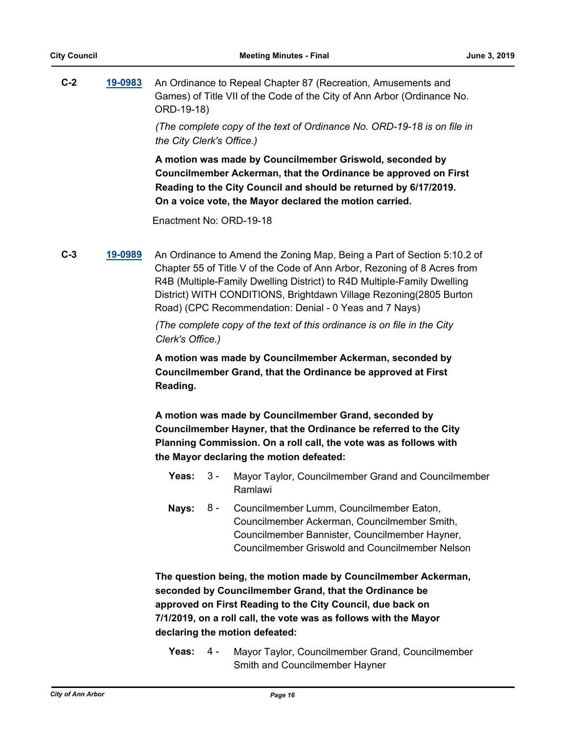| $C-2$ | 19-0983 | An Ordinance to Repeal Chapter 87 (Recreation, Amusements and                         |
|-------|---------|---------------------------------------------------------------------------------------|
|       |         | Games) of Title VII of the Code of the City of Ann Arbor (Ordinance No.<br>ORD-19-18) |
|       |         |                                                                                       |

*(The complete copy of the text of Ordinance No. ORD-19-18 is on file in the City Clerk's Office.)*

**A motion was made by Councilmember Griswold, seconded by Councilmember Ackerman, that the Ordinance be approved on First Reading to the City Council and should be returned by 6/17/2019. On a voice vote, the Mayor declared the motion carried.**

Enactment No: ORD-19-18

**C-3 [19-0989](http://a2gov.legistar.com/gateway.aspx?M=L&ID=22644)** An Ordinance to Amend the Zoning Map, Being a Part of Section 5:10.2 of Chapter 55 of Title V of the Code of Ann Arbor, Rezoning of 8 Acres from R4B (Multiple-Family Dwelling District) to R4D Multiple-Family Dwelling District) WITH CONDITIONS, Brightdawn Village Rezoning(2805 Burton Road) (CPC Recommendation: Denial - 0 Yeas and 7 Nays)

> *(The complete copy of the text of this ordinance is on file in the City Clerk's Office.)*

> **A motion was made by Councilmember Ackerman, seconded by Councilmember Grand, that the Ordinance be approved at First Reading.**

**A motion was made by Councilmember Grand, seconded by Councilmember Hayner, that the Ordinance be referred to the City Planning Commission. On a roll call, the vote was as follows with the Mayor declaring the motion defeated:**

- **Yeas:** 3 Mayor Taylor, Councilmember Grand and Councilmember Ramlawi 3 -
- Nays: 8 Councilmember Lumm, Councilmember Eaton, Councilmember Ackerman, Councilmember Smith, Councilmember Bannister, Councilmember Hayner, Councilmember Griswold and Councilmember Nelson 8 -

**The question being, the motion made by Councilmember Ackerman, seconded by Councilmember Grand, that the Ordinance be approved on First Reading to the City Council, due back on 7/1/2019, on a roll call, the vote was as follows with the Mayor declaring the motion defeated:**

**Yeas:** Mayor Taylor, Councilmember Grand, Councilmember Smith and Councilmember Hayner Yeas:  $4 -$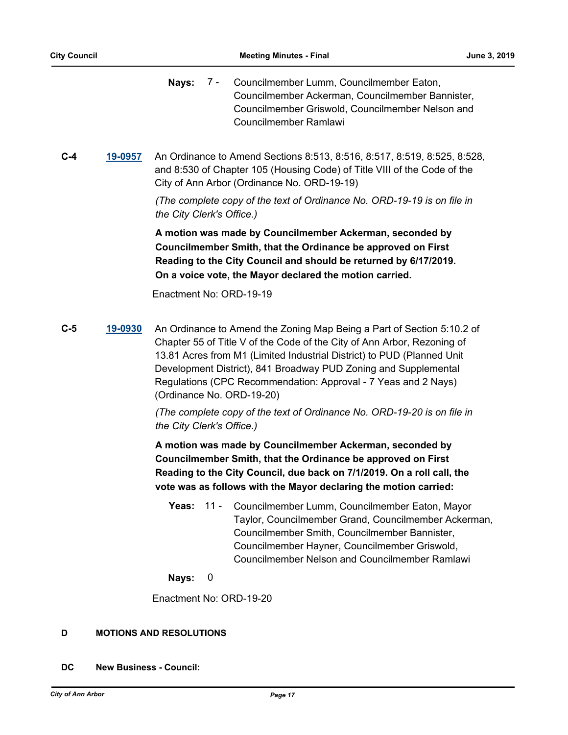Nays: 7 - Councilmember Lumm, Councilmember Eaton, Councilmember Ackerman, Councilmember Bannister, Councilmember Griswold, Councilmember Nelson and Councilmember Ramlawi 7 -

**C-4 [19-0957](http://a2gov.legistar.com/gateway.aspx?M=L&ID=22625)** An Ordinance to Amend Sections 8:513, 8:516, 8:517, 8:519, 8:525, 8:528, and 8:530 of Chapter 105 (Housing Code) of Title VIII of the Code of the City of Ann Arbor (Ordinance No. ORD-19-19)

> *(The complete copy of the text of Ordinance No. ORD-19-19 is on file in the City Clerk's Office.)*

**A motion was made by Councilmember Ackerman, seconded by Councilmember Smith, that the Ordinance be approved on First Reading to the City Council and should be returned by 6/17/2019. On a voice vote, the Mayor declared the motion carried.**

Enactment No: ORD-19-19

**C-5 [19-0930](http://a2gov.legistar.com/gateway.aspx?M=L&ID=22598)** An Ordinance to Amend the Zoning Map Being a Part of Section 5:10.2 of Chapter 55 of Title V of the Code of the City of Ann Arbor, Rezoning of 13.81 Acres from M1 (Limited Industrial District) to PUD (Planned Unit Development District), 841 Broadway PUD Zoning and Supplemental Regulations (CPC Recommendation: Approval - 7 Yeas and 2 Nays) (Ordinance No. ORD-19-20)

> *(The complete copy of the text of Ordinance No. ORD-19-20 is on file in the City Clerk's Office.)*

> **A motion was made by Councilmember Ackerman, seconded by Councilmember Smith, that the Ordinance be approved on First Reading to the City Council, due back on 7/1/2019. On a roll call, the vote was as follows with the Mayor declaring the motion carried:**

- **Yeas:** Councilmember Lumm, Councilmember Eaton, Mayor Taylor, Councilmember Grand, Councilmember Ackerman, Councilmember Smith, Councilmember Bannister, Councilmember Hayner, Councilmember Griswold, Councilmember Nelson and Councilmember Ramlawi **Yeas: 11 -**
- **Nays:** 0

Enactment No: ORD-19-20

# **D MOTIONS AND RESOLUTIONS**

**DC New Business - Council:**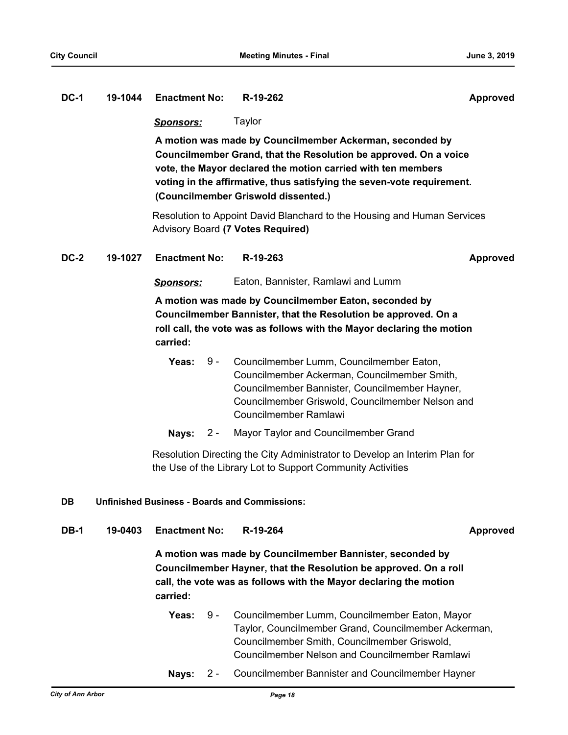### **DC-1 19-1044 Enactment No: R-19-262 Approved**

*Sponsors:* Taylor

**A motion was made by Councilmember Ackerman, seconded by Councilmember Grand, that the Resolution be approved. On a voice vote, the Mayor declared the motion carried with ten members voting in the affirmative, thus satisfying the seven-vote requirement. (Councilmember Griswold dissented.)**

Resolution to Appoint David Blanchard to the Housing and Human Services Advisory Board **(7 Votes Required)**

#### **DC-2 19-1027 Enactment No: R-19-263 Approved**

*Sponsors:* Eaton, Bannister, Ramlawi and Lumm

**A motion was made by Councilmember Eaton, seconded by Councilmember Bannister, that the Resolution be approved. On a roll call, the vote was as follows with the Mayor declaring the motion carried:**

- Yeas: 9 Councilmember Lumm, Councilmember Eaton, Councilmember Ackerman, Councilmember Smith, Councilmember Bannister, Councilmember Hayner, Councilmember Griswold, Councilmember Nelson and Councilmember Ramlawi  $9 -$
- **Nays:** 2 Mayor Taylor and Councilmember Grand

Resolution Directing the City Administrator to Develop an Interim Plan for the Use of the Library Lot to Support Community Activities

# **DB Unfinished Business - Boards and Commissions:**

**DB-1 19-0403 Enactment No: R-19-264 Approved**

**A motion was made by Councilmember Bannister, seconded by Councilmember Hayner, that the Resolution be approved. On a roll call, the vote was as follows with the Mayor declaring the motion carried:**

- Yeas: 9 Councilmember Lumm, Councilmember Eaton, Mayor Taylor, Councilmember Grand, Councilmember Ackerman, Councilmember Smith, Councilmember Griswold, Councilmember Nelson and Councilmember Ramlawi  $9 -$
- **Nays:** 2 Councilmember Bannister and Councilmember Hayner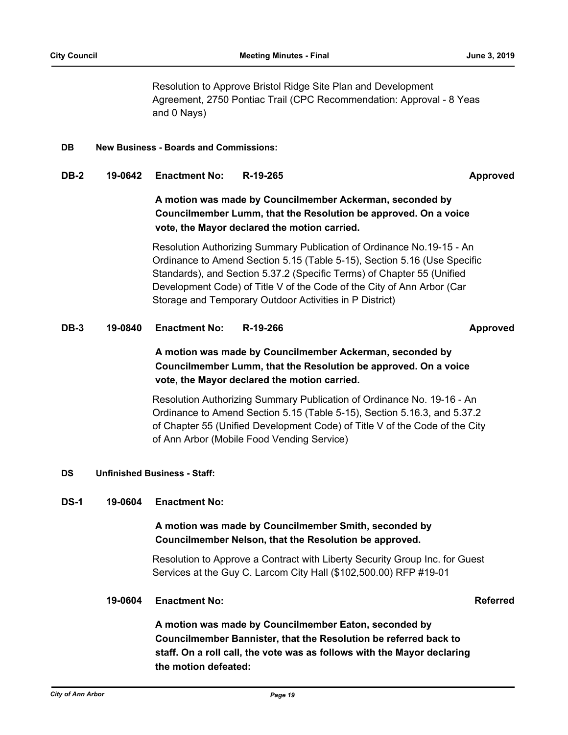Resolution to Approve Bristol Ridge Site Plan and Development Agreement, 2750 Pontiac Trail (CPC Recommendation: Approval - 8 Yeas and 0 Nays)

#### **DB New Business - Boards and Commissions:**

# **DB-2 19-0642 Enactment No: R-19-265 Approved**

**A motion was made by Councilmember Ackerman, seconded by Councilmember Lumm, that the Resolution be approved. On a voice vote, the Mayor declared the motion carried.**

Resolution Authorizing Summary Publication of Ordinance No.19-15 - An Ordinance to Amend Section 5.15 (Table 5-15), Section 5.16 (Use Specific Standards), and Section 5.37.2 (Specific Terms) of Chapter 55 (Unified Development Code) of Title V of the Code of the City of Ann Arbor (Car Storage and Temporary Outdoor Activities in P District)

# **DB-3 19-0840 Enactment No: R-19-266 Approved**

# **A motion was made by Councilmember Ackerman, seconded by Councilmember Lumm, that the Resolution be approved. On a voice vote, the Mayor declared the motion carried.**

Resolution Authorizing Summary Publication of Ordinance No. 19-16 - An Ordinance to Amend Section 5.15 (Table 5-15), Section 5.16.3, and 5.37.2 of Chapter 55 (Unified Development Code) of Title V of the Code of the City of Ann Arbor (Mobile Food Vending Service)

# **DS Unfinished Business - Staff:**

# **DS-1 19-0604 Enactment No:**

# **A motion was made by Councilmember Smith, seconded by Councilmember Nelson, that the Resolution be approved.**

Resolution to Approve a Contract with Liberty Security Group Inc. for Guest Services at the Guy C. Larcom City Hall (\$102,500.00) RFP #19-01

#### **19-0604 Enactment No: Referred**

**A motion was made by Councilmember Eaton, seconded by Councilmember Bannister, that the Resolution be referred back to staff. On a roll call, the vote was as follows with the Mayor declaring the motion defeated:**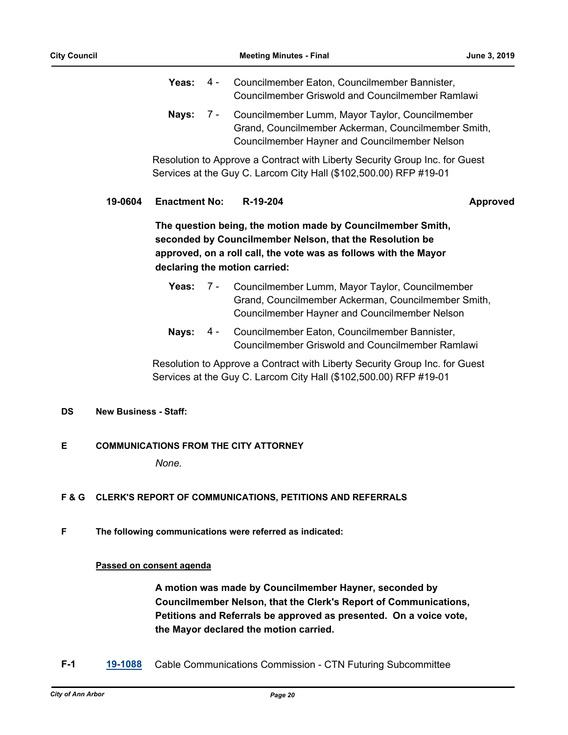|  | Yeas: 4 - Councilmember Eaton, Councilmember Bannister,   |  |
|--|-----------------------------------------------------------|--|
|  | <b>Councilmember Griswold and Councilmember Ramlawi</b>   |  |
|  | Nays: 7 - Councilmember Lumm, Mayor Taylor, Councilmember |  |
|  | Grand, Councilmember Ackerman, Councilmember Smith,       |  |
|  | Councilmember Hayner and Councilmember Nelson             |  |

Resolution to Approve a Contract with Liberty Security Group Inc. for Guest Services at the Guy C. Larcom City Hall (\$102,500.00) RFP #19-01

# **19-0604 Enactment No: R-19-204 Approved**

**The question being, the motion made by Councilmember Smith, seconded by Councilmember Nelson, that the Resolution be approved, on a roll call, the vote was as follows with the Mayor declaring the motion carried:**

- Yeas: 7 Councilmember Lumm, Mayor Taylor, Councilmember Grand, Councilmember Ackerman, Councilmember Smith, Councilmember Hayner and Councilmember Nelson 7 -
- Nays: 4 Councilmember Eaton, Councilmember Bannister, Councilmember Griswold and Councilmember Ramlawi  $4 -$

Resolution to Approve a Contract with Liberty Security Group Inc. for Guest Services at the Guy C. Larcom City Hall (\$102,500.00) RFP #19-01

# **DS New Business - Staff:**

# **E COMMUNICATIONS FROM THE CITY ATTORNEY**

*None.*

# **F & G CLERK'S REPORT OF COMMUNICATIONS, PETITIONS AND REFERRALS**

**F The following communications were referred as indicated:**

# **Passed on consent agenda**

**A motion was made by Councilmember Hayner, seconded by Councilmember Nelson, that the Clerk's Report of Communications, Petitions and Referrals be approved as presented. On a voice vote, the Mayor declared the motion carried.**

**F-1 [19-1088](http://a2gov.legistar.com/gateway.aspx?M=L&ID=22736)** Cable Communications Commission - CTN Futuring Subcommittee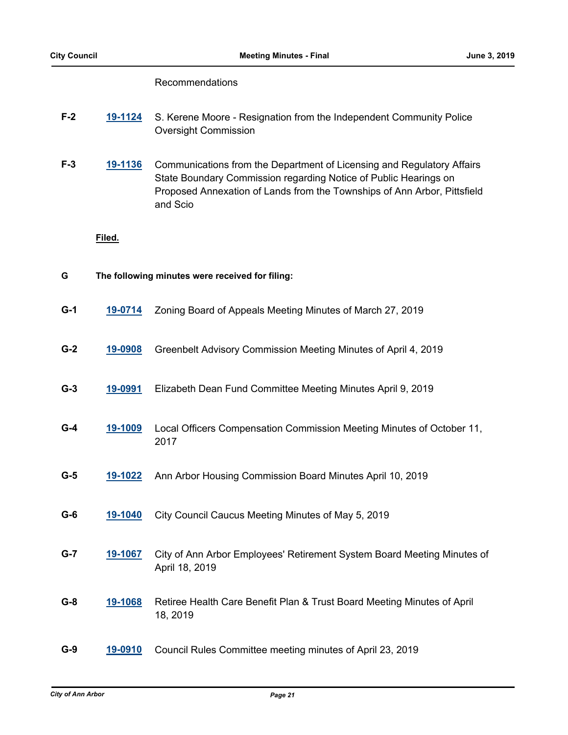# Recommendations

- **F-2 [19-1124](http://a2gov.legistar.com/gateway.aspx?M=L&ID=22772)** S. Kerene Moore Resignation from the Independent Community Police Oversight Commission
- **F-3 [19-1136](http://a2gov.legistar.com/gateway.aspx?M=L&ID=22784)** Communications from the Department of Licensing and Regulatory Affairs State Boundary Commission regarding Notice of Public Hearings on Proposed Annexation of Lands from the Townships of Ann Arbor, Pittsfield and Scio

# **Filed.**

| G     | The following minutes were received for filing: |                                                                                           |  |
|-------|-------------------------------------------------|-------------------------------------------------------------------------------------------|--|
| $G-1$ | 19-0714                                         | Zoning Board of Appeals Meeting Minutes of March 27, 2019                                 |  |
| $G-2$ | 19-0908                                         | Greenbelt Advisory Commission Meeting Minutes of April 4, 2019                            |  |
| $G-3$ | 19-0991                                         | Elizabeth Dean Fund Committee Meeting Minutes April 9, 2019                               |  |
| $G-4$ | 19-1009                                         | Local Officers Compensation Commission Meeting Minutes of October 11,<br>2017             |  |
| $G-5$ | 19-1022                                         | Ann Arbor Housing Commission Board Minutes April 10, 2019                                 |  |
| $G-6$ | 19-1040                                         | City Council Caucus Meeting Minutes of May 5, 2019                                        |  |
| $G-7$ | 19-1067                                         | City of Ann Arbor Employees' Retirement System Board Meeting Minutes of<br>April 18, 2019 |  |
| $G-8$ | 19-1068                                         | Retiree Health Care Benefit Plan & Trust Board Meeting Minutes of April<br>18, 2019       |  |
| $G-9$ | 19-0910                                         | Council Rules Committee meeting minutes of April 23, 2019                                 |  |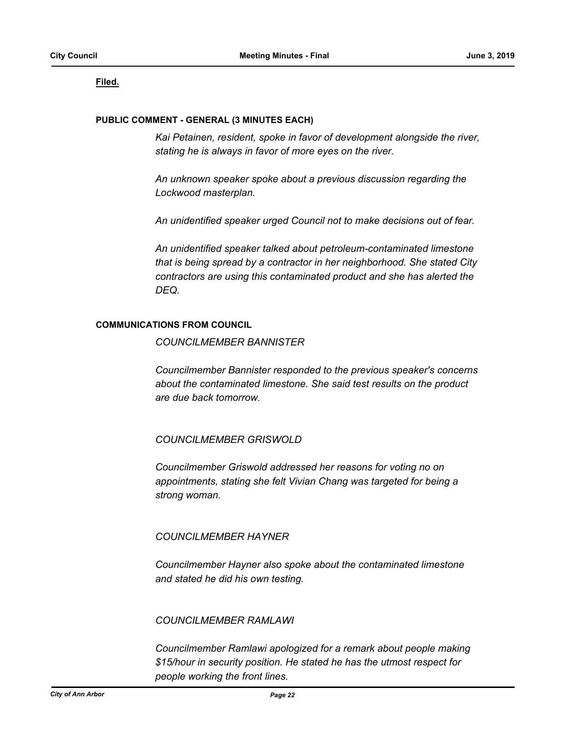# **Filed.**

#### **PUBLIC COMMENT - GENERAL (3 MINUTES EACH)**

*Kai Petainen, resident, spoke in favor of development alongside the river, stating he is always in favor of more eyes on the river.*

*An unknown speaker spoke about a previous discussion regarding the Lockwood masterplan.*

*An unidentified speaker urged Council not to make decisions out of fear.*

*An unidentified speaker talked about petroleum-contaminated limestone that is being spread by a contractor in her neighborhood. She stated City contractors are using this contaminated product and she has alerted the DEQ.*

# **COMMUNICATIONS FROM COUNCIL**

*COUNCILMEMBER BANNISTER*

*Councilmember Bannister responded to the previous speaker's concerns about the contaminated limestone. She said test results on the product are due back tomorrow.*

# *COUNCILMEMBER GRISWOLD*

*Councilmember Griswold addressed her reasons for voting no on appointments, stating she felt Vivian Chang was targeted for being a strong woman.*

# *COUNCILMEMBER HAYNER*

*Councilmember Hayner also spoke about the contaminated limestone and stated he did his own testing.*

# *COUNCILMEMBER RAMLAWI*

*Councilmember Ramlawi apologized for a remark about people making \$15/hour in security position. He stated he has the utmost respect for people working the front lines.*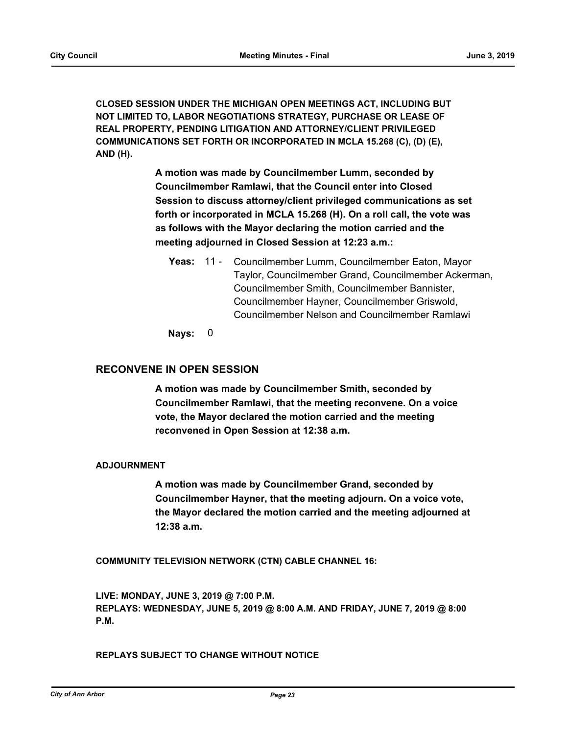**CLOSED SESSION UNDER THE MICHIGAN OPEN MEETINGS ACT, INCLUDING BUT NOT LIMITED TO, LABOR NEGOTIATIONS STRATEGY, PURCHASE OR LEASE OF REAL PROPERTY, PENDING LITIGATION AND ATTORNEY/CLIENT PRIVILEGED COMMUNICATIONS SET FORTH OR INCORPORATED IN MCLA 15.268 (C), (D) (E), AND (H).**

> **A motion was made by Councilmember Lumm, seconded by Councilmember Ramlawi, that the Council enter into Closed Session to discuss attorney/client privileged communications as set forth or incorporated in MCLA 15.268 (H). On a roll call, the vote was as follows with the Mayor declaring the motion carried and the meeting adjourned in Closed Session at 12:23 a.m.:**

Yeas: 11 - Councilmember Lumm, Councilmember Eaton, Mayor Taylor, Councilmember Grand, Councilmember Ackerman, Councilmember Smith, Councilmember Bannister, Councilmember Hayner, Councilmember Griswold, Councilmember Nelson and Councilmember Ramlawi

**Nays:** 0

# **RECONVENE IN OPEN SESSION**

**A motion was made by Councilmember Smith, seconded by Councilmember Ramlawi, that the meeting reconvene. On a voice vote, the Mayor declared the motion carried and the meeting reconvened in Open Session at 12:38 a.m.**

# **ADJOURNMENT**

**A motion was made by Councilmember Grand, seconded by Councilmember Hayner, that the meeting adjourn. On a voice vote, the Mayor declared the motion carried and the meeting adjourned at 12:38 a.m.**

**COMMUNITY TELEVISION NETWORK (CTN) CABLE CHANNEL 16:**

**LIVE: MONDAY, JUNE 3, 2019 @ 7:00 P.M. REPLAYS: WEDNESDAY, JUNE 5, 2019 @ 8:00 A.M. AND FRIDAY, JUNE 7, 2019 @ 8:00 P.M.**

**REPLAYS SUBJECT TO CHANGE WITHOUT NOTICE**